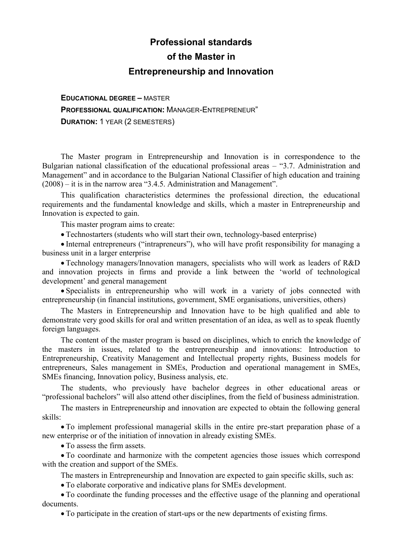# **Professional standards of the Master in Entrepreneurship and Innovation**

**EDUCATIONAL DEGREE –** MASTER **PROFESSIONAL QUALIFICATION:** MANAGER-ENTREPRENEUR" **DURATION:** 1 YEAR (2 SEMESTERS)

The Master program in Entrepreneurship and Innovation is in correspondence to the Bulgarian national classification of the educational professional areas – "3.7. Administration and Management" and in accordance to the Bulgarian National Classifier of high education and training (2008) – it is in the narrow area "3.4.5. Administration and Management".

This qualification characteristics determines the professional direction, the educational requirements and the fundamental knowledge and skills, which a master in Entrepreneurship and Innovation is expected to gain.

This master program aims to create:

Technostarters (students who will start their own, technology-based enterprise)

 Internal entrepreneurs ("intrapreneurs"), who will have profit responsibility for managing a business unit in a larger enterprise

 Technology managers/Innovation managers, specialists who will work as leaders of R&D and innovation projects in firms and provide a link between the 'world of technological development' and general management

 Specialists in entrepreneurship who will work in a variety of jobs connected with entrepreneurship (in financial institutions, government, SME organisations, universities, others)

The Masters in Entrepreneurship and Innovation have to be high qualified and able to demonstrate very good skills for oral and written presentation of an idea, as well as to speak fluently foreign languages.

The content of the master program is based on disciplines, which to enrich the knowledge of the masters in issues, related to the entrepreneurship and innovations: Introduction to Entrepreneurship, Creativity Management and Intellectual property rights, Business models for entrepreneurs, Sales management in SMEs, Production and operational management in SMEs, SMEs financing, Innovation policy, Business analysis, etc.

The students, who previously have bachelor degrees in other educational areas or "professional bachelors" will also attend other disciplines, from the field of business administration.

The masters in Entrepreneurship and innovation are expected to obtain the following general skills:

 To implement professional managerial skills in the entire pre-start preparation phase of a new enterprise or of the initiation of innovation in already existing SMEs.

To assess the firm assets.

 To coordinate and harmonize with the competent agencies those issues which correspond with the creation and support of the SMEs.

The masters in Entrepreneurship and Innovation are expected to gain specific skills, such as:

To elaborate corporative and indicative plans for SMEs development.

 To coordinate the funding processes and the effective usage of the planning and operational documents.

To participate in the creation of start-ups or the new departments of existing firms.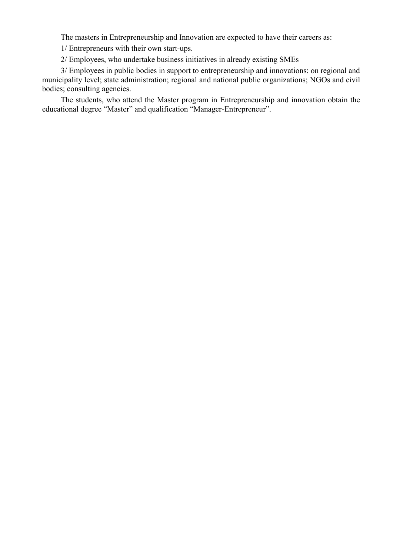The masters in Entrepreneurship and Innovation are expected to have their careers as:

1/ Entrepreneurs with their own start-ups.

2/ Employees, who undertake business initiatives in already existing SMEs

3/ Employees in public bodies in support to entrepreneurship and innovations: on regional and municipality level; state administration; regional and national public organizations; NGOs and civil bodies; consulting agencies.

The students, who attend the Master program in Entrepreneurship and innovation obtain the educational degree "Master" and qualification "Manager-Entrepreneur".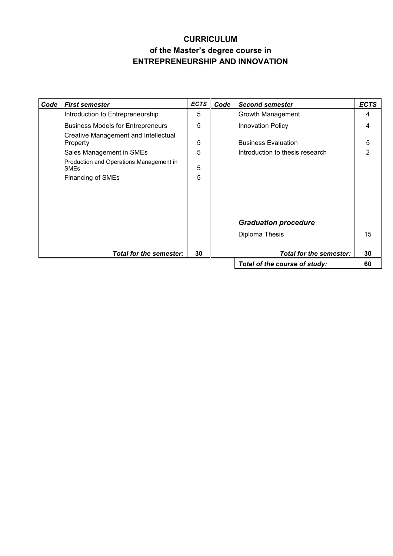# **CURRICULUM of the Master's degree course in ENTREPRENEURSHIP AND INNOVATION**

| Code | <b>First semester</b>                                  | <b>ECTS</b> | Code                          | <b>Second semester</b>          | <b>ECTS</b>    |
|------|--------------------------------------------------------|-------------|-------------------------------|---------------------------------|----------------|
|      | Introduction to Entrepreneurship                       | 5           |                               | Growth Management               | 4              |
|      | <b>Business Models for Entrepreneurs</b>               | 5           |                               | <b>Innovation Policy</b>        | 4              |
|      | Creative Management and Intellectual<br>Property       | 5           |                               | <b>Business Evaluation</b>      | 5              |
|      | Sales Management in SMEs                               | 5           |                               | Introduction to thesis research | $\overline{2}$ |
|      | Production and Operations Management in<br><b>SMEs</b> | 5           |                               |                                 |                |
|      | <b>Financing of SMEs</b>                               | 5           |                               |                                 |                |
|      |                                                        |             |                               |                                 |                |
|      |                                                        |             |                               |                                 |                |
|      |                                                        |             |                               |                                 |                |
|      |                                                        |             |                               | <b>Graduation procedure</b>     |                |
|      |                                                        |             |                               | Diploma Thesis                  | 15             |
|      |                                                        |             |                               |                                 |                |
|      | <b>Total for the semester:</b>                         | 30          |                               | <b>Total for the semester:</b>  | 30             |
|      |                                                        |             | Total of the course of study: | 60                              |                |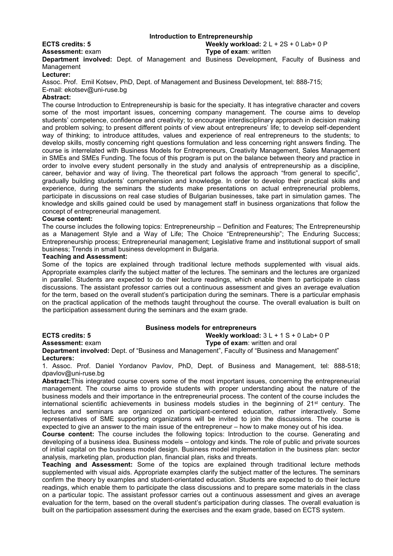#### **Introduction to Entrepreneurship**

**ECTS credits: 5 Weekly workload:** 2 L + 2S + 0 Lab+ 0 P

**Assessment:** exam **Type of exam**: written

**Department involved:** Dept. of Management and Business Development, Faculty of Business and **Management** 

#### **Lecturer:**

Assoc. Prof. Emil Kotsev, PhD, Dept. of Management and Business Development, tel: 888-715; E-mail: ekotsev@uni-ruse.bg

#### **Abstract:**

The course Introduction to Entrepreneurship is basic for the specialty. It has integrative character and covers some of the most important issues, concerning company management. The course aims to develop students' competence, confidence and creativity; to encourage interdisciplinary approach in decision making and problem solving; to present different points of view about entrepreneurs' life; to develop self-dependent way of thinking; to introduce attitudes, values and experience of real entrepreneurs to the students; to develop skills, mostly concerning right questions formulation and less concerning right answers finding. The course is interrelated with Business Models for Entrepreneurs, Creativity Management, Sales Management in SMEs and SMEs Funding. The focus of this program is put on the balance between theory and practice in order to involve every student personally in the study and analysis of entrepreneurship as a discipline, career, behavior and way of living. The theoretical part follows the approach "from general to specific", gradually building students' comprehension and knowledge. In order to develop their practical skills and experience, during the seminars the students make presentations on actual entrepreneurial problems, participate in discussions on real case studies of Bulgarian businesses, take part in simulation games. The knowledge and skills gained could be used by management staff in business organizations that follow the concept of entrepreneurial management.

#### **Course content:**

The course includes the following topics: Entrepreneurship – Definition and Features; The Entrepreneurship as a Management Style and a Way of Life; The Choice "Entrepreneurship"; The Enduring Success; Entrepreneurship process; Entrepreneurial management; Legislative frame and institutional support of small business; Trends in small business development in Bulgaria.

#### **Teaching and Assessment:**

Some of the topics are explained through traditional lecture methods supplemented with visual aids. Appropriate examples clarify the subject matter of the lectures. The seminars and the lectures are organized in parallel. Students are expected to do their lecture readings, which enable them to participate in class discussions. The assistant professor carries out a continuous assessment and gives an average evaluation for the term, based on the overall student's participation during the seminars. There is a particular emphasis on the practical application of the methods taught throughout the course. The overall evaluation is built on the participation assessment during the seminars and the exam grade.

#### **Business models for entrepreneurs**

**ECTS credits: 5 Weekly workload:** 3 L + 1 S + 0 Lab+ 0 P **Assessment:** exam **Type of exam**: written and oral **Department involved:** Dept. of "Business and Management", Faculty of "Business and Management"

**Lecturers:**

1. Assoc. Prof. Daniel Yordanov Pavlov, PhD, Dept. of Business and Management, tel: 888-518; dpavlov@uni-ruse.bg

**Abstract:**This integrated course covers some of the most important issues, concerning the entrepreneurial management. The course aims to provide students with proper understanding about the nature of the business models and their importance in the entrepreneurial process. The content of the course includes the international scientific achievements in business models studies in the beginning of 21<sup>st</sup> century. The lectures and seminars are organized on participant-centered education, rather interactively. Some representatives of SME supporting organizations will be invited to join the discussions. The course is expected to give an answer to the main issue of the entrepreneur – how to make money out of his idea.

**Course content:** The course includes the following topics: Introduction to the course. Generating and developing of a business idea. Business models – ontology and kinds. The role of public and private sources of initial capital on the business model design. Business model implementation in the business plan: sector analysis, marketing plan, production plan, financial plan, risks and threats.

**Teaching and Assessment:** Some of the topics are explained through traditional lecture methods supplemented with visual aids. Appropriate examples clarify the subject matter of the lectures. The seminars confirm the theory by examples and student-orientated education. Students are expected to do their lecture readings, which enable them to participate the class discussions and to prepare some materials in the class on a particular topic. The assistant professor carries out a continuous assessment and gives an average evaluation for the term, based on the overall student's participation during classes. The overall evaluation is built on the participation assessment during the exercises and the exam grade, based on ECTS system.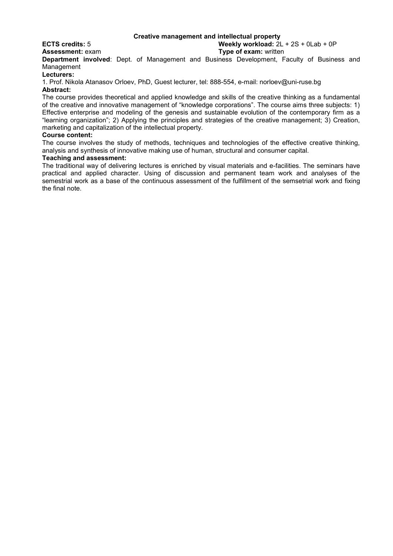#### **Creative management and intellectual property**

**ECTS credits:** 5 **Weekly workload:** 2L + 2S + 0Lab + 0P

**Assessment:** exam **Type of exam:** written

**Department involved**: Dept. of Management and Business Development, Faculty of Business and **Management** 

**Lecturers:**

1. Prof. Nikola Atanasov Orloev, PhD, Guest lecturer, tel: 888-554, e-mail: norloev@uni-ruse.bg **Abstract:**

The course provides theoretical and applied knowledge and skills of the creative thinking as a fundamental of the creative and innovative management of "knowledge corporations". The course aims three subjects: 1) Effective enterprise and modeling of the genesis and sustainable evolution of the contemporary firm as a "learning organization"; 2) Applying the principles and strategies of the creative management; 3) Creation, marketing and capitalization of the intellectual property.

#### **Course content:**

The course involves the study of methods, techniques and technologies of the effective creative thinking, analysis and synthesis of innovative making use of human, structural and consumer capital.

#### **Teaching and assessment:**

The traditional way of delivering lectures is enriched by visual materials and e-facilities. The seminars have practical and applied character. Using of discussion and permanent team work and analyses of the semestrial work as a base of the continuous assessment of the fulfillment of the semsetrial work and fixing the final note.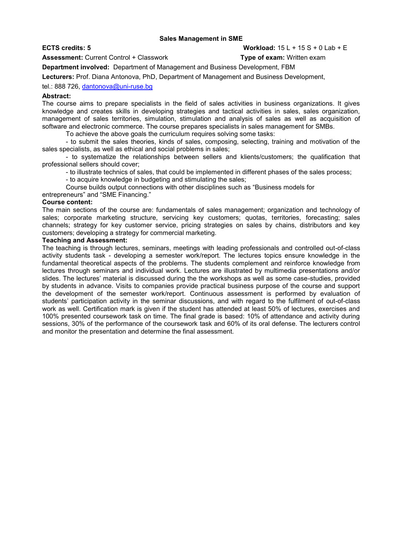#### **Sales Management in SMЕ**

**Assessment:** Current Control + Classwork **Type of exam:** Written exam

## **ECTS credits: 5 Workload:** 15 L + 15 S + 0 Lab + E

**Department involved:** Department of Management and Business Development, FBM

**Lecturers:** Prof. Diana Antonova, PhD, Department of Management and Business Development,

tel.: 888 726, [dantonova@uni-ruse.bg](mailto:dantonova@uni-ruse.bg)

#### **Abstract:**

The course aims to prepare specialists in the field of sales activities in business organizations. It gives knowledge and creates skills in developing strategies and tactical activities in sales, sales organization, management of sales territories, simulation, stimulation and analysis of sales as well as acquisition of software and electronic commerce. The course prepares specialists in sales management for SMBs.

To achieve the above goals the curriculum requires solving some tasks:

- to submit the sales theories, kinds of sales, composing, selecting, training and motivation of the sales specialists, as well as ethical and social problems in sales;

- to systematize the relationships between sellers and klients/customers; the qualification that professional sellers should cover;

- to illustrate technics of sales, that could be implemented in different phases of the sales process;

- to acquire knowledge in budgeting and stimulating the sales;

Course builds output connections with other disciplines such as "Business models for

entrepreneurs" and "SME Financing."

#### **Course content:**

The main sections of the course are: fundamentals of sales management; organization and technology of sales; corporate marketing structure, servicing key customers; quotas, territories, forecasting; sales channels; strategy for key customer service, pricing strategies on sales by chains, distributors and key customers; developing a strategy for commercial marketing.

#### **Teaching and Assessment:**

The teaching is through lectures, seminars, meetings with leading professionals and controlled out-of-class activity students task - developing a semester work/report. The lectures topics ensure knowledge in the fundamental theoretical aspects of the problems. The students complement and reinforce knowledge from lectures through seminars and individual work. Lectures are illustrated by multimedia presentations and/or slides. The lectures' material is discussed during the the workshops as well as some case-studies, provided by students in advance. Visits to companies provide practical business purpose of the course and support the development of the semester work/report. Continuous assessment is performed by evaluation of students' participation activity in the seminar discussions, and with regard to the fulfilment of out-of-class work as well. Certification mark is given if the student has attended at least 50% of lectures, exercises and 100% presented coursework task on time. The final grade is based: 10% of attendance and activity during sessions, 30% of the performance of the coursework task and 60% of its oral defense. The lecturers control and monitor the presentation and determine the final assessment.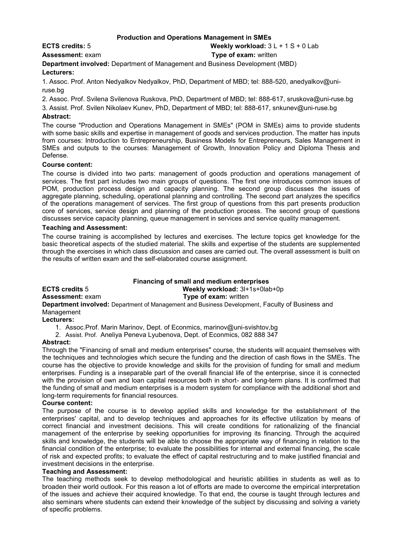#### **Production and Operations Management in SMEs**

# **ECTS credits:** 5 **Weekly workload:** 3 L + 1 S + 0 Lab

**Assessment:** exam **Type of exam:** written **Department involved:** Department of Management and Business Development (MBD)

# **Lecturers:**

1. Assoc. Prof. Anton Nedyalkov Nedyalkov, PhD, Department of MBD; tel: 888-520, anedyalkov@uniruse.bg

2. Assoc. Prof. Svilena Svilenova Ruskova, PhD, Department of MBD; tel: 888-617, sruskova@uni-ruse.bg

3. Assist. Prof. Svilen Nikolaev Kunev, PhD, Department of MBD; tel: 888-617, snkunev@uni-ruse.bg **Abstract:**

The course "Production and Operations Management in SMEs" (POM in SMEs) aims to provide students with some basic skills and expertise in management of goods and services production. The matter has inputs from courses: Introduction to Entrepreneurship, Business Models for Entrepreneurs, Sales Management in SMEs and outputs to the courses: Management of Growth, Innovation Policy and Diploma Thesis and Defense.

### **Course content:**

The course is divided into two parts: management of goods production and operations management of services. The first part includes two main groups of questions. The first one introduces common issues of POM, production process design and capacity planning. The second group discusses the issues of aggregate planning, scheduling, operational planning and controlling. The second part analyzes the specifics of the operations management of services. The first group of questions from this part presents production core of services, service design and planning of the production process. The second group of questions discusses service capacity planning, queue management in services and service quality management.

#### **Teaching and Assessment:**

The course training is accomplished by lectures and exercises. The lecture topics get knowledge for the basic theoretical aspects of the studied material. The skills and expertise of the students are supplemented through the exercises in which class discussion and cases are carried out. The overall assessment is built on the results of written exam and the self-elaborated course assignment.

### **Financing of small and medium enterprises**

### **ECTS credits** 5 **Weekly workload:** 3l+1s+0lab+0p

**Assessment:** exam **Type of exam:** written

**Department involved:** Department of Management and Business Development, Faculty of Business and Management

#### **Lecturers:**

1. Assoc.Prof. Marin Marinov, Dept. of Econmics, marinov@uni-svishtov,bg

2. Assist. Prof. Aneliya Peneva Lyubenova, Dept. of Econmics, 082 888 347

### **Abstract:**

Through the "Financing of small and medium enterprises" course, the students will acquaint themselves with the techniques and technologies which secure the funding and the direction of cash flows in the SMEs. The course has the objective to provide knowledge and skills for the provision of funding for small and medium enterprises. Funding is a inseparable part of the overall financial life of the enterprise, since it is connected with the provision of own and loan capital resources both in short- and long-term plans. It is confirmed that the funding of small and medium enterprises is a modern system for compliance with the additional short and long-term requirements for financial resources.

#### **Course content:**

The purpose of the course is to develop applied skills and knowledge for the establishment of the enterprises' capital, and to develop techniques and approaches for its effective utilization by means of correct financial and investment decisions. This will create conditions for rationalizing of the financial management of the enterprise by seeking opportunities for improving its financing. Through the acquired skills and knowledge, the students will be able to choose the appropriate way of financing in relation to the financial condition of the enterprise; to evaluate the possibilities for internal and external financing, the scale of risk and expected profits; to evaluate the effect of capital restructuring and to make justified financial and investment decisions in the enterprise.

#### **Teaching and Assessment:**

The teaching methods seek to develop methodological and heuristic abilities in students as well as to broaden their world outlook. For this reason a lot of efforts are made to overcome the empirical interpretation of the issues and achieve their acquired knowledge. To that end, the course is taught through lectures and also seminars where students can extend their knowledge of the subject by discussing and solving a variety of specific problems.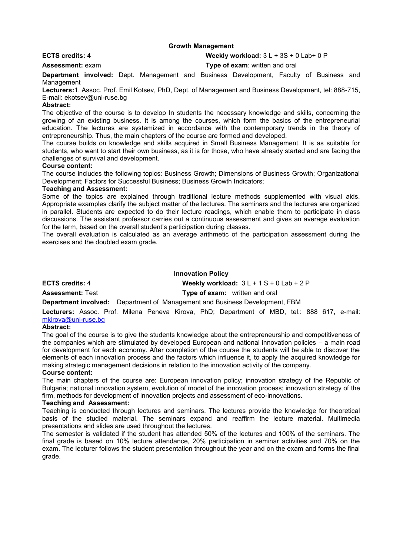#### **Growth Management**

**ECTS credits: 4 Weekly workload:** 3 L + 3S + 0 Lab+ 0 P

**Assessment:** exam **Type of exam**: written and oral

**Department involved:** Dept. Management and Business Development, Faculty of Business and **Management** 

**Lecturers:**1. Assoc. Prof. Emil Kotsev, PhD, Dept. of Management and Business Development, tel: 888-715, E-mail: ekotsev@uni-ruse.bg

#### **Abstract:**

The objective of the course is to develop In students the necessary knowledge and skills, concerning the growing of an existing business. It is among the courses, which form the basics of the entrepreneurial education. The lectures are systemized in accordance with the contemporary trends in the theory of entrepreneurship. Thus, the main chapters of the course are formed and developed.

The course builds on knowledge and skills acquired in Small Business Management. It is as suitable for students, who want to start their own business, as it is for those, who have already started and are facing the challenges of survival and development.

#### **Course content:**

The course includes the following topics: Business Growth; Dimensions of Business Growth; Organizational Development; Factors for Successful Business; Business Growth Indicators;

#### **Teaching and Assessment:**

Some of the topics are explained through traditional lecture methods supplemented with visual aids. Appropriate examples clarify the subject matter of the lectures. The seminars and the lectures are organized in parallel. Students are expected to do their lecture readings, which enable them to participate in class discussions. The assistant professor carries out a continuous assessment and gives an average evaluation for the term, based on the overall student's participation during classes.

The overall evaluation is calculated as an average arithmetic of the participation assessment during the exercises and the doubled exam grade.

#### **Innovation Policy**

**ECTS credits:** 4 **Weekly workload:** 3 L + 1 S + 0 Lab + 2 P

**Assessment:** Test **Type of exam:** written and oral

**Department involved:** Department of Management and Business Development, FBM

**Lecturers:** Assoc. Prof. Milena Peneva Kirova, PhD; Department of MBD, tel.: 888 617, e-mail: [mkirova@uni-ruse.bg](mailto:mkirova@uni-ruse.bg)

#### **Abstract:**

The goal of the course is to give the students knowledge about the entrepreneurship and competitiveness of the companies which are stimulated by developed European and national innovation policies – a main road for development for each economy. After completion of the course the students will be able to discover the elements of each innovation process and the factors which influence it, to apply the acquired knowledge for making strategic management decisions in relation to the innovation activity of the company.

#### **Course content:**

The main chapters of the course are: European innovation policy; innovation strategy of the Republic of Bulgaria; national innovation system, evolution of model of the innovation process; innovation strategy of the firm, methods for development of innovation projects and assessment of eco-innovations.

#### **Teaching and Assessment:**

Teaching is conducted through lectures and seminars. The lectures provide the knowledge for theoretical basis of the studied material. The seminars expand and reaffirm the lecture material. Multimedia presentations and slides are used throughout the lectures.

The semester is validated if the student has attended 50% of the lectures and 100% of the seminars. The final grade is based on 10% lecture attendance, 20% participation in seminar activities and 70% on the exam. The lecturer follows the student presentation throughout the year and on the exam and forms the final grade.